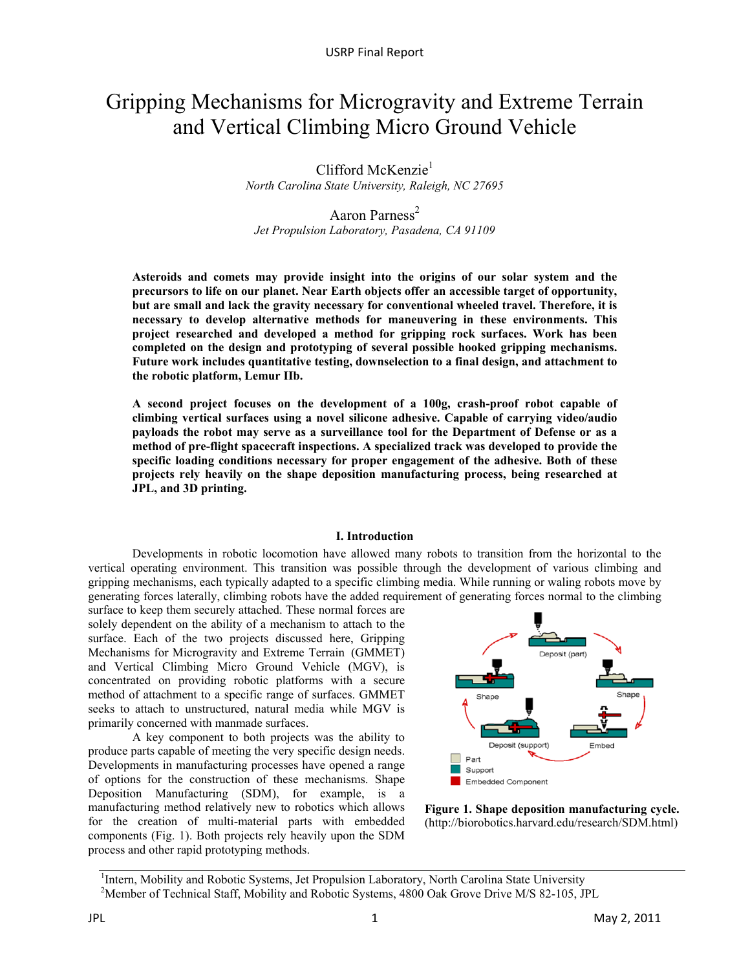# Gripping Mechanisms for Microgravity and Extreme Terrain and Vertical Climbing Micro Ground Vehicle

Clifford McKenzie<sup>1</sup> *North Carolina State University, Raleigh, NC 27695* 

Aaron Parness<sup>2</sup> *Jet Propulsion Laboratory, Pasadena, CA 91109* 

**Asteroids and comets may provide insight into the origins of our solar system and the precursors to life on our planet. Near Earth objects offer an accessible target of opportunity, but are small and lack the gravity necessary for conventional wheeled travel. Therefore, it is necessary to develop alternative methods for maneuvering in these environments. This project researched and developed a method for gripping rock surfaces. Work has been completed on the design and prototyping of several possible hooked gripping mechanisms. Future work includes quantitative testing, downselection to a final design, and attachment to the robotic platform, Lemur IIb.** 

**A second project focuses on the development of a 100g, crash-proof robot capable of climbing vertical surfaces using a novel silicone adhesive. Capable of carrying video/audio payloads the robot may serve as a surveillance tool for the Department of Defense or as a method of pre-flight spacecraft inspections. A specialized track was developed to provide the specific loading conditions necessary for proper engagement of the adhesive. Both of these projects rely heavily on the shape deposition manufacturing process, being researched at JPL, and 3D printing.** 

#### **I. Introduction**

Developments in robotic locomotion have allowed many robots to transition from the horizontal to the vertical operating environment. This transition was possible through the development of various climbing and gripping mechanisms, each typically adapted to a specific climbing media. While running or waling robots move by generating forces laterally, climbing robots have the added requirement of generating forces normal to the climbing

surface to keep them securely attached. These normal forces are solely dependent on the ability of a mechanism to attach to the surface. Each of the two projects discussed here, Gripping Mechanisms for Microgravity and Extreme Terrain (GMMET) and Vertical Climbing Micro Ground Vehicle (MGV), is concentrated on providing robotic platforms with a secure method of attachment to a specific range of surfaces. GMMET seeks to attach to unstructured, natural media while MGV is primarily concerned with manmade surfaces.

A key component to both projects was the ability to produce parts capable of meeting the very specific design needs. Developments in manufacturing processes have opened a range of options for the construction of these mechanisms. Shape Deposition Manufacturing (SDM), for example, is a manufacturing method relatively new to robotics which allows for the creation of multi-material parts with embedded components (Fig. 1). Both projects rely heavily upon the SDM process and other rapid prototyping methods.





<sup>1</sup>Intern, Mobility and Robotic Systems, Jet Propulsion Laboratory, North Carolina State University <sup>2</sup>Member of Technical Staff, Mobility and Robotic Systems, 4800 Oak Grove Drive M/S 82-105, JPL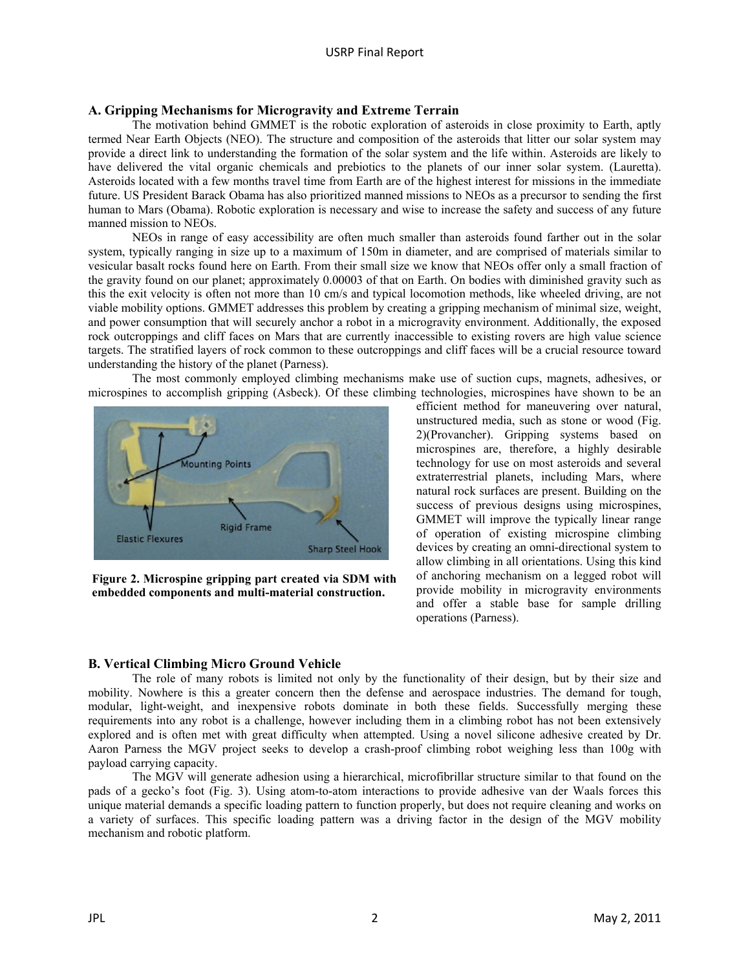## **A. Gripping Mechanisms for Microgravity and Extreme Terrain**

The motivation behind GMMET is the robotic exploration of asteroids in close proximity to Earth, aptly termed Near Earth Objects (NEO). The structure and composition of the asteroids that litter our solar system may provide a direct link to understanding the formation of the solar system and the life within. Asteroids are likely to have delivered the vital organic chemicals and prebiotics to the planets of our inner solar system. (Lauretta). Asteroids located with a few months travel time from Earth are of the highest interest for missions in the immediate future. US President Barack Obama has also prioritized manned missions to NEOs as a precursor to sending the first human to Mars (Obama). Robotic exploration is necessary and wise to increase the safety and success of any future manned mission to NEOs.

NEOs in range of easy accessibility are often much smaller than asteroids found farther out in the solar system, typically ranging in size up to a maximum of 150m in diameter, and are comprised of materials similar to vesicular basalt rocks found here on Earth. From their small size we know that NEOs offer only a small fraction of the gravity found on our planet; approximately 0.00003 of that on Earth. On bodies with diminished gravity such as this the exit velocity is often not more than 10 cm/s and typical locomotion methods, like wheeled driving, are not viable mobility options. GMMET addresses this problem by creating a gripping mechanism of minimal size, weight, and power consumption that will securely anchor a robot in a microgravity environment. Additionally, the exposed rock outcroppings and cliff faces on Mars that are currently inaccessible to existing rovers are high value science targets. The stratified layers of rock common to these outcroppings and cliff faces will be a crucial resource toward understanding the history of the planet (Parness).

The most commonly employed climbing mechanisms make use of suction cups, magnets, adhesives, or microspines to accomplish gripping (Asbeck). Of these climbing technologies, microspines have shown to be an



**Figure 2. Microspine gripping part created via SDM with embedded components and multi-material construction.** 

efficient method for maneuvering over natural, unstructured media, such as stone or wood (Fig. 2)(Provancher). Gripping systems based on microspines are, therefore, a highly desirable technology for use on most asteroids and several extraterrestrial planets, including Mars, where natural rock surfaces are present. Building on the success of previous designs using microspines, GMMET will improve the typically linear range of operation of existing microspine climbing devices by creating an omni-directional system to allow climbing in all orientations. Using this kind of anchoring mechanism on a legged robot will provide mobility in microgravity environments and offer a stable base for sample drilling operations (Parness).

# **B. Vertical Climbing Micro Ground Vehicle**

The role of many robots is limited not only by the functionality of their design, but by their size and mobility. Nowhere is this a greater concern then the defense and aerospace industries. The demand for tough, modular, light-weight, and inexpensive robots dominate in both these fields. Successfully merging these requirements into any robot is a challenge, however including them in a climbing robot has not been extensively explored and is often met with great difficulty when attempted. Using a novel silicone adhesive created by Dr. Aaron Parness the MGV project seeks to develop a crash-proof climbing robot weighing less than 100g with payload carrying capacity.

The MGV will generate adhesion using a hierarchical, microfibrillar structure similar to that found on the pads of a gecko's foot (Fig. 3). Using atom-to-atom interactions to provide adhesive van der Waals forces this unique material demands a specific loading pattern to function properly, but does not require cleaning and works on a variety of surfaces. This specific loading pattern was a driving factor in the design of the MGV mobility mechanism and robotic platform.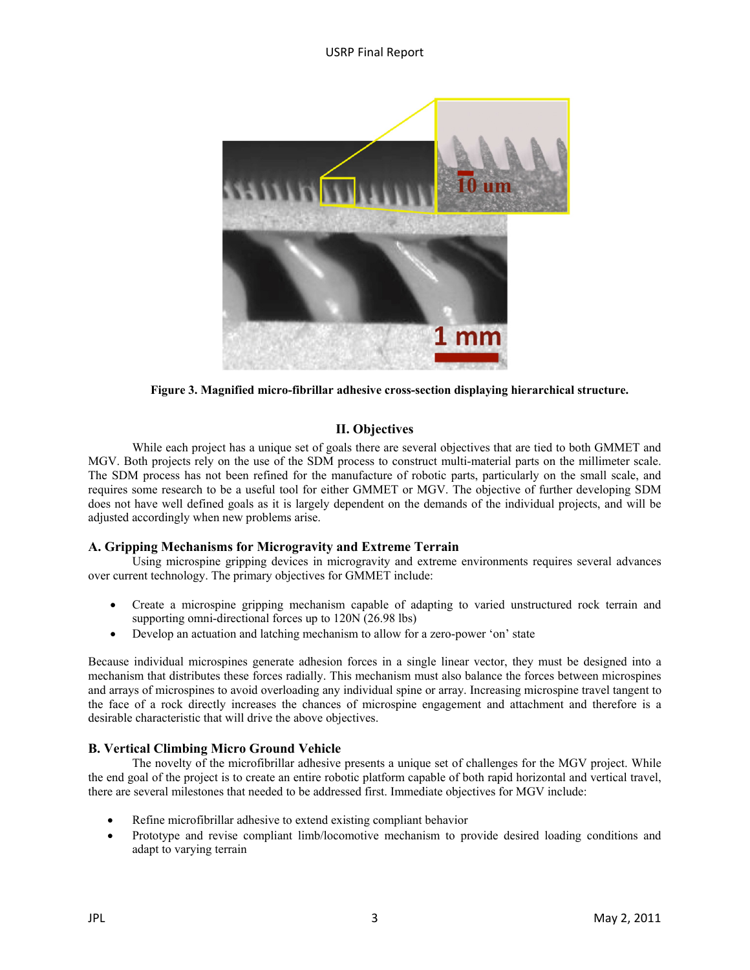

**Figure 3. Magnified micro-fibrillar adhesive cross-section displaying hierarchical structure.** 

# **II. Objectives**

While each project has a unique set of goals there are several objectives that are tied to both GMMET and MGV. Both projects rely on the use of the SDM process to construct multi-material parts on the millimeter scale. The SDM process has not been refined for the manufacture of robotic parts, particularly on the small scale, and requires some research to be a useful tool for either GMMET or MGV. The objective of further developing SDM does not have well defined goals as it is largely dependent on the demands of the individual projects, and will be adjusted accordingly when new problems arise.

# **A. Gripping Mechanisms for Microgravity and Extreme Terrain**

Using microspine gripping devices in microgravity and extreme environments requires several advances over current technology. The primary objectives for GMMET include:

- Create a microspine gripping mechanism capable of adapting to varied unstructured rock terrain and supporting omni-directional forces up to 120N (26.98 lbs)
- Develop an actuation and latching mechanism to allow for a zero-power 'on' state

Because individual microspines generate adhesion forces in a single linear vector, they must be designed into a mechanism that distributes these forces radially. This mechanism must also balance the forces between microspines and arrays of microspines to avoid overloading any individual spine or array. Increasing microspine travel tangent to the face of a rock directly increases the chances of microspine engagement and attachment and therefore is a desirable characteristic that will drive the above objectives.

# **B. Vertical Climbing Micro Ground Vehicle**

The novelty of the microfibrillar adhesive presents a unique set of challenges for the MGV project. While the end goal of the project is to create an entire robotic platform capable of both rapid horizontal and vertical travel, there are several milestones that needed to be addressed first. Immediate objectives for MGV include:

- Refine microfibrillar adhesive to extend existing compliant behavior
- Prototype and revise compliant limb/locomotive mechanism to provide desired loading conditions and adapt to varying terrain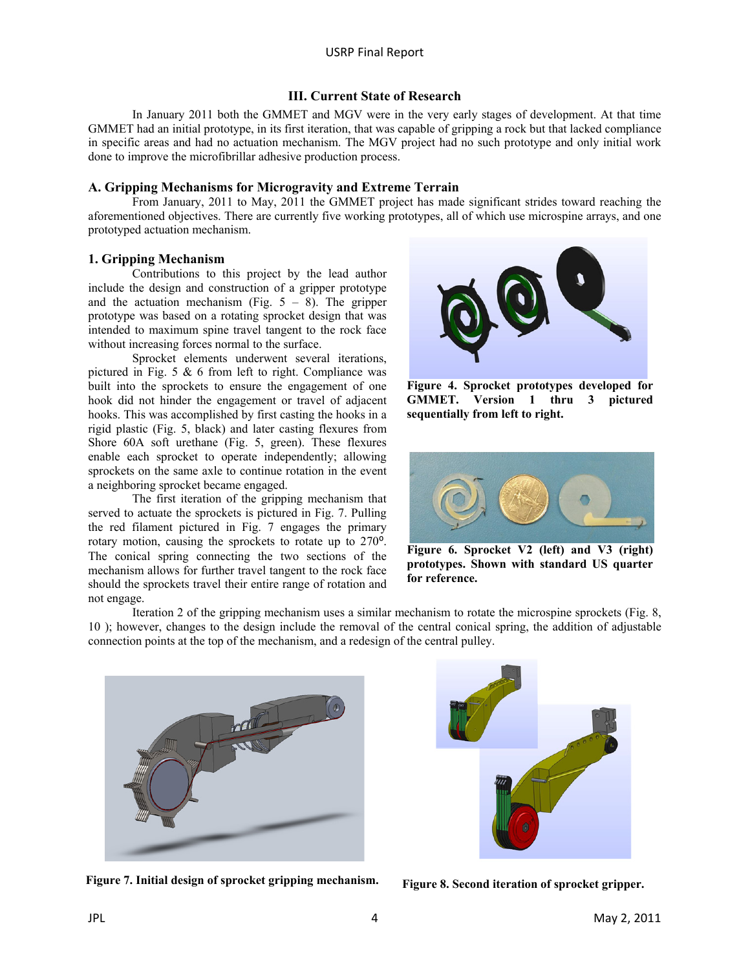#### **III. Current State of Research**

In January 2011 both the GMMET and MGV were in the very early stages of development. At that time GMMET had an initial prototype, in its first iteration, that was capable of gripping a rock but that lacked compliance in specific areas and had no actuation mechanism. The MGV project had no such prototype and only initial work done to improve the microfibrillar adhesive production process.

### **A. Gripping Mechanisms for Microgravity and Extreme Terrain**

From January, 2011 to May, 2011 the GMMET project has made significant strides toward reaching the aforementioned objectives. There are currently five working prototypes, all of which use microspine arrays, and one prototyped actuation mechanism.

#### **1. Gripping Mechanism**

Contributions to this project by the lead author include the design and construction of a gripper prototype and the actuation mechanism (Fig.  $5 - 8$ ). The gripper prototype was based on a rotating sprocket design that was intended to maximum spine travel tangent to the rock face without increasing forces normal to the surface.

Sprocket elements underwent several iterations, pictured in Fig. 5  $& 6$  from left to right. Compliance was built into the sprockets to ensure the engagement of one hook did not hinder the engagement or travel of adjacent hooks. This was accomplished by first casting the hooks in a rigid plastic (Fig. 5, black) and later casting flexures from Shore 60A soft urethane (Fig. 5, green). These flexures enable each sprocket to operate independently; allowing sprockets on the same axle to continue rotation in the event a neighboring sprocket became engaged.

The first iteration of the gripping mechanism that served to actuate the sprockets is pictured in Fig. 7. Pulling the red filament pictured in Fig. 7 engages the primary rotary motion, causing the sprockets to rotate up to 270<sup>o</sup>. The conical spring connecting the two sections of the mechanism allows for further travel tangent to the rock face should the sprockets travel their entire range of rotation and not engage.



**Figure 4. Sprocket prototypes developed for GMMET. Version 1 thru 3 pictured sequentially from left to right.** 



**Figure 6. Sprocket V2 (left) and V3 (right) prototypes. Shown with standard US quarter for reference.** 

Iteration 2 of the gripping mechanism uses a similar mechanism to rotate the microspine sprockets (Fig. 8, 10 ); however, changes to the design include the removal of the central conical spring, the addition of adjustable connection points at the top of the mechanism, and a redesign of the central pulley.



Figure 7. Initial design of sprocket gripping mechanism. Figure 8. Second iteration of sprocket gripper.

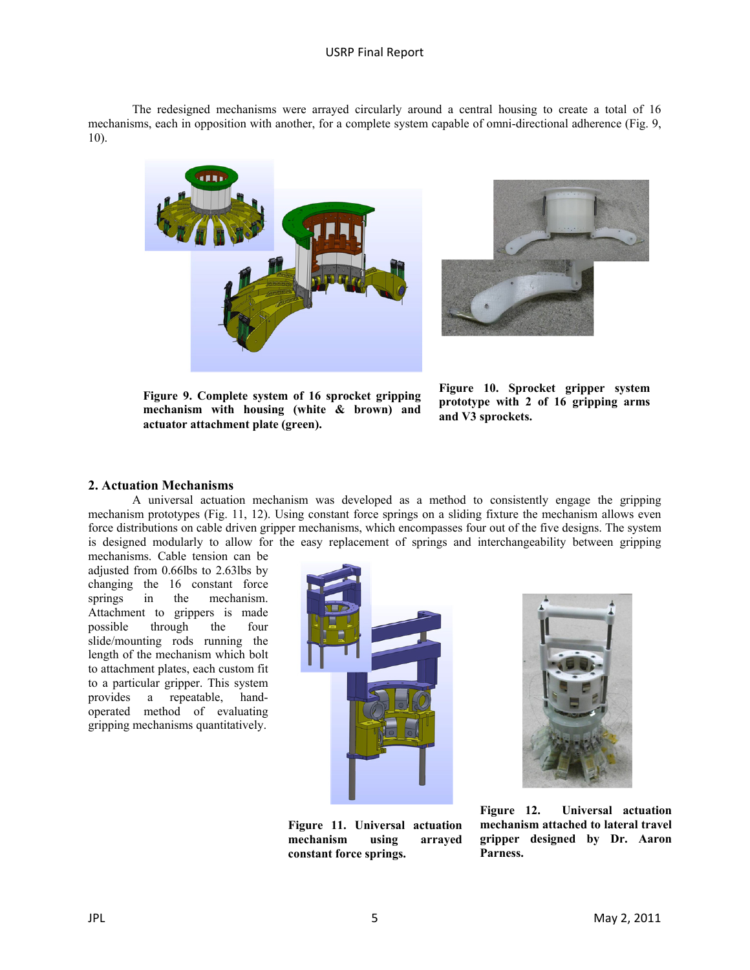The redesigned mechanisms were arrayed circularly around a central housing to create a total of 16 mechanisms, each in opposition with another, for a complete system capable of omni-directional adherence (Fig. 9, 10).





**Figure 9. Complete system of 16 sprocket gripping mechanism with housing (white & brown) and actuator attachment plate (green).** 

**Figure 10. Sprocket gripper system prototype with 2 of 16 gripping arms and V3 sprockets.** 

#### **2. Actuation Mechanisms**

A universal actuation mechanism was developed as a method to consistently engage the gripping mechanism prototypes (Fig. 11, 12). Using constant force springs on a sliding fixture the mechanism allows even force distributions on cable driven gripper mechanisms, which encompasses four out of the five designs. The system is designed modularly to allow for the easy replacement of springs and interchangeability between gripping

mechanisms. Cable tension can be adjusted from 0.66lbs to 2.63lbs by changing the 16 constant force springs in the mechanism. Attachment to grippers is made possible through the four slide/mounting rods running the length of the mechanism which bolt to attachment plates, each custom fit to a particular gripper. This system provides a repeatable, handoperated method of evaluating gripping mechanisms quantitatively.



**Figure 11. Universal actuation mechanism using arrayed constant force springs.** 



**Figure 12. Universal actuation mechanism attached to lateral travel gripper designed by Dr. Aaron Parness.**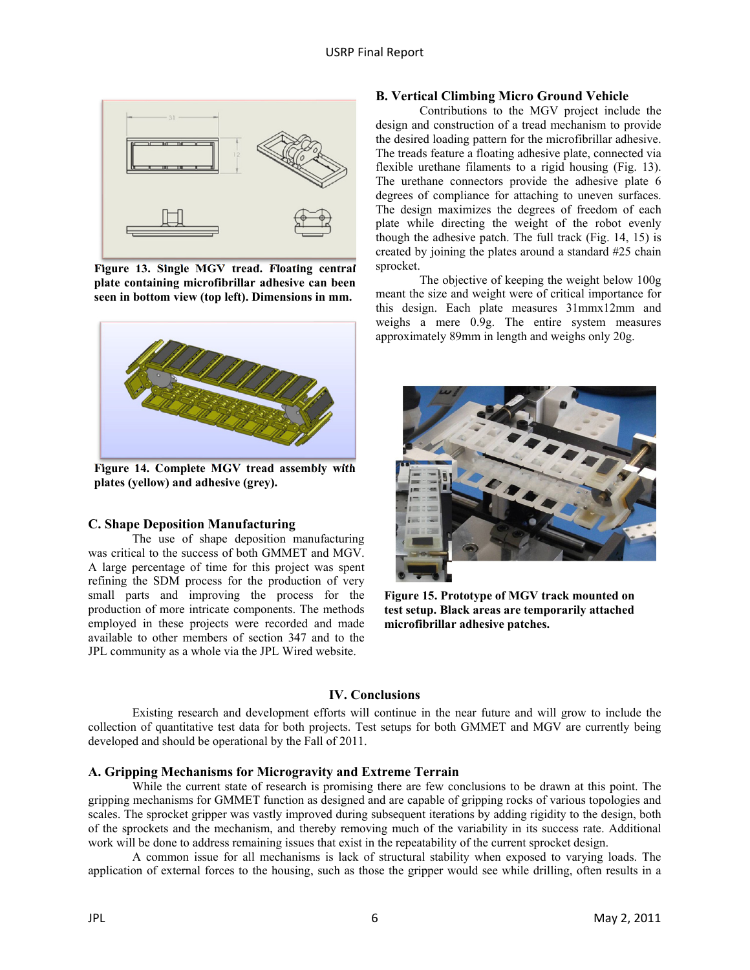

**Figure 13. Single MGV tread. Floating central plate containing microfibrillar adhesive can been seen in bottom view (top left). Dimensions in mm.** 



**Figure 14. Complete MGV tread assembly with plates (yellow) and adhesive (grey).**

## **C. Shape Deposition Manufacturing**

The use of shape deposition manufacturing was critical to the success of both GMMET and MGV. A large percentage of time for this project was spent refining the SDM process for the production of very small parts and improving the process for the production of more intricate components. The methods employed in these projects were recorded and made available to other members of section 347 and to the JPL community as a whole via the JPL Wired website.

## **B. Vertical Climbing Micro Ground Vehicle**

Contributions to the MGV project include the design and construction of a tread mechanism to provide the desired loading pattern for the microfibrillar adhesive. The treads feature a floating adhesive plate, connected via flexible urethane filaments to a rigid housing (Fig. 13). The urethane connectors provide the adhesive plate 6 degrees of compliance for attaching to uneven surfaces. The design maximizes the degrees of freedom of each plate while directing the weight of the robot evenly though the adhesive patch. The full track (Fig. 14, 15) is created by joining the plates around a standard #25 chain sprocket.

The objective of keeping the weight below 100g meant the size and weight were of critical importance for this design. Each plate measures 31mmx12mm and weighs a mere 0.9g. The entire system measures approximately 89mm in length and weighs only 20g.



**Figure 15. Prototype of MGV track mounted on test setup. Black areas are temporarily attached microfibrillar adhesive patches.** 

# **IV. Conclusions**

Existing research and development efforts will continue in the near future and will grow to include the collection of quantitative test data for both projects. Test setups for both GMMET and MGV are currently being developed and should be operational by the Fall of 2011.

# **A. Gripping Mechanisms for Microgravity and Extreme Terrain**

While the current state of research is promising there are few conclusions to be drawn at this point. The gripping mechanisms for GMMET function as designed and are capable of gripping rocks of various topologies and scales. The sprocket gripper was vastly improved during subsequent iterations by adding rigidity to the design, both of the sprockets and the mechanism, and thereby removing much of the variability in its success rate. Additional work will be done to address remaining issues that exist in the repeatability of the current sprocket design.

A common issue for all mechanisms is lack of structural stability when exposed to varying loads. The application of external forces to the housing, such as those the gripper would see while drilling, often results in a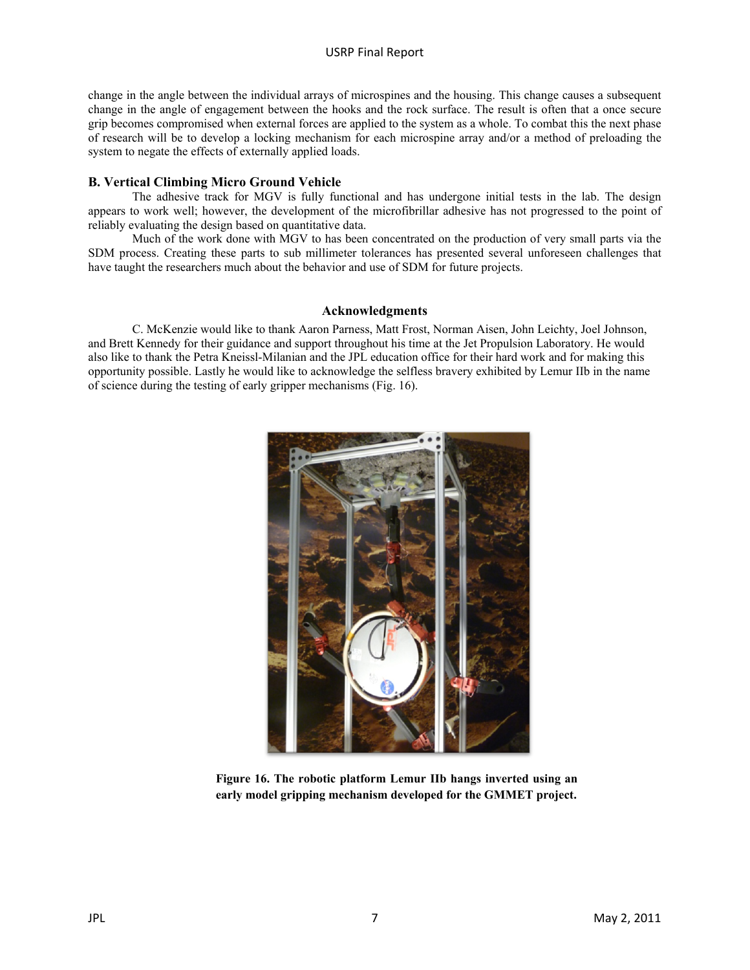change in the angle between the individual arrays of microspines and the housing. This change causes a subsequent change in the angle of engagement between the hooks and the rock surface. The result is often that a once secure grip becomes compromised when external forces are applied to the system as a whole. To combat this the next phase of research will be to develop a locking mechanism for each microspine array and/or a method of preloading the system to negate the effects of externally applied loads.

# **B. Vertical Climbing Micro Ground Vehicle**

The adhesive track for MGV is fully functional and has undergone initial tests in the lab. The design appears to work well; however, the development of the microfibrillar adhesive has not progressed to the point of reliably evaluating the design based on quantitative data.

Much of the work done with MGV to has been concentrated on the production of very small parts via the SDM process. Creating these parts to sub millimeter tolerances has presented several unforeseen challenges that have taught the researchers much about the behavior and use of SDM for future projects.

## **Acknowledgments**

C. McKenzie would like to thank Aaron Parness, Matt Frost, Norman Aisen, John Leichty, Joel Johnson, and Brett Kennedy for their guidance and support throughout his time at the Jet Propulsion Laboratory. He would also like to thank the Petra Kneissl-Milanian and the JPL education office for their hard work and for making this opportunity possible. Lastly he would like to acknowledge the selfless bravery exhibited by Lemur IIb in the name of science during the testing of early gripper mechanisms (Fig. 16).



**Figure 16. The robotic platform Lemur IIb hangs inverted using an early model gripping mechanism developed for the GMMET project.**